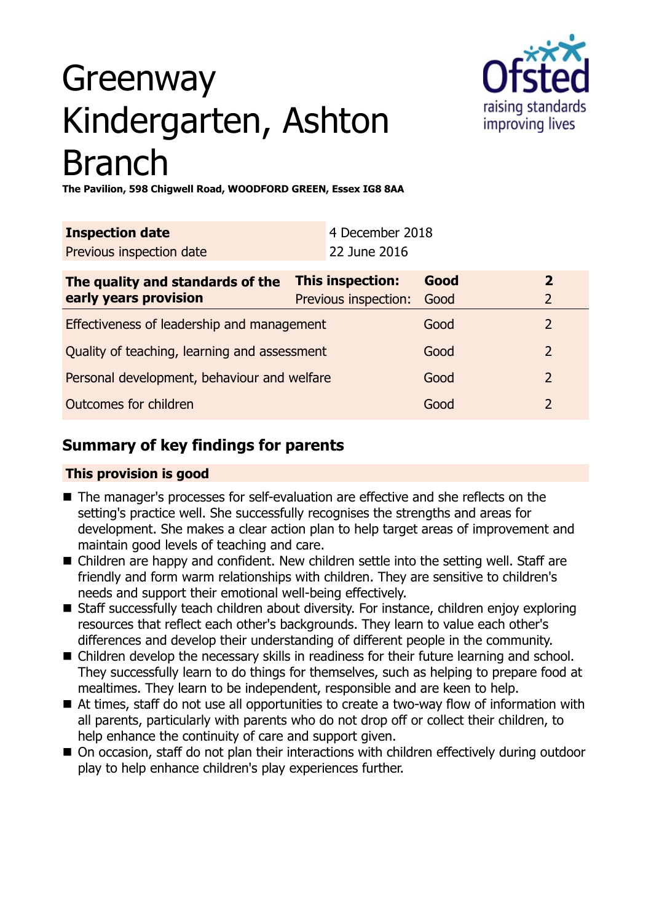# Greenway Kindergarten, Ashton Branch



**The Pavilion, 598 Chigwell Road, WOODFORD GREEN, Essex IG8 8AA**

| <b>Inspection date</b>                       | 4 December 2018      |      |                |
|----------------------------------------------|----------------------|------|----------------|
| Previous inspection date                     | 22 June 2016         |      |                |
| The quality and standards of the             | This inspection:     | Good | $\mathbf{2}$   |
| early years provision                        | Previous inspection: | Good | 2              |
| Effectiveness of leadership and management   |                      | Good | $\overline{2}$ |
| Quality of teaching, learning and assessment |                      | Good | $\overline{2}$ |
| Personal development, behaviour and welfare  |                      | Good | $\overline{2}$ |
| Outcomes for children                        |                      | Good | 2              |

## **Summary of key findings for parents**

## **This provision is good**

- The manager's processes for self-evaluation are effective and she reflects on the setting's practice well. She successfully recognises the strengths and areas for development. She makes a clear action plan to help target areas of improvement and maintain good levels of teaching and care.
- Children are happy and confident. New children settle into the setting well. Staff are friendly and form warm relationships with children. They are sensitive to children's needs and support their emotional well-being effectively.
- Staff successfully teach children about diversity. For instance, children enjoy exploring resources that reflect each other's backgrounds. They learn to value each other's differences and develop their understanding of different people in the community.
- Children develop the necessary skills in readiness for their future learning and school. They successfully learn to do things for themselves, such as helping to prepare food at mealtimes. They learn to be independent, responsible and are keen to help.
- $\blacksquare$  At times, staff do not use all opportunities to create a two-way flow of information with all parents, particularly with parents who do not drop off or collect their children, to help enhance the continuity of care and support given.
- On occasion, staff do not plan their interactions with children effectively during outdoor play to help enhance children's play experiences further.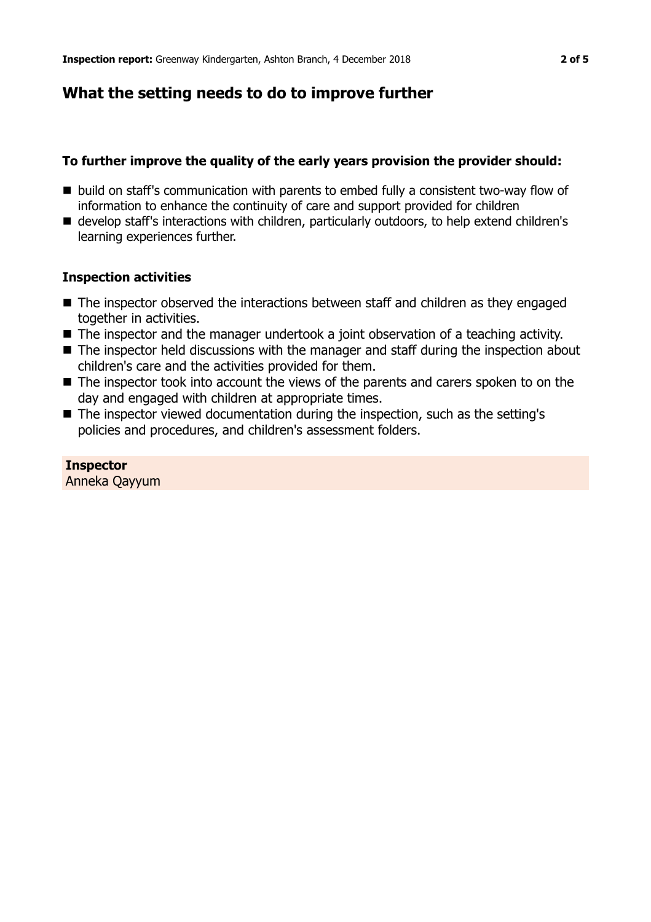## **What the setting needs to do to improve further**

## **To further improve the quality of the early years provision the provider should:**

- build on staff's communication with parents to embed fully a consistent two-way flow of information to enhance the continuity of care and support provided for children
- develop staff's interactions with children, particularly outdoors, to help extend children's learning experiences further.

### **Inspection activities**

- $\blacksquare$  The inspector observed the interactions between staff and children as they engaged together in activities.
- The inspector and the manager undertook a joint observation of a teaching activity.
- $\blacksquare$  The inspector held discussions with the manager and staff during the inspection about children's care and the activities provided for them.
- $\blacksquare$  The inspector took into account the views of the parents and carers spoken to on the day and engaged with children at appropriate times.
- $\blacksquare$  The inspector viewed documentation during the inspection, such as the setting's policies and procedures, and children's assessment folders.

## **Inspector**

Anneka Qayyum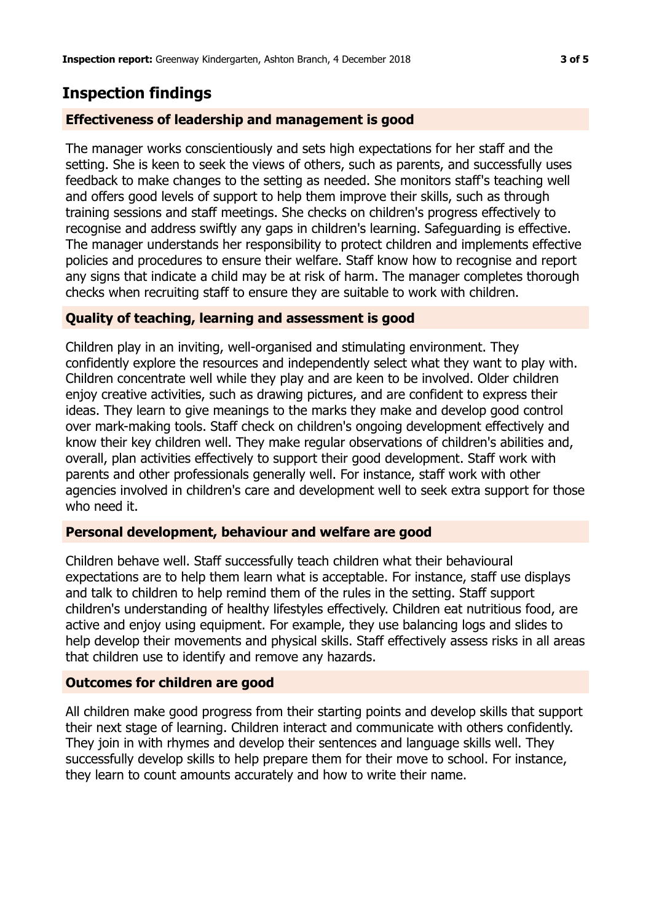## **Inspection findings**

#### **Effectiveness of leadership and management is good**

The manager works conscientiously and sets high expectations for her staff and the setting. She is keen to seek the views of others, such as parents, and successfully uses feedback to make changes to the setting as needed. She monitors staff's teaching well and offers good levels of support to help them improve their skills, such as through training sessions and staff meetings. She checks on children's progress effectively to recognise and address swiftly any gaps in children's learning. Safeguarding is effective. The manager understands her responsibility to protect children and implements effective policies and procedures to ensure their welfare. Staff know how to recognise and report any signs that indicate a child may be at risk of harm. The manager completes thorough checks when recruiting staff to ensure they are suitable to work with children.

### **Quality of teaching, learning and assessment is good**

Children play in an inviting, well-organised and stimulating environment. They confidently explore the resources and independently select what they want to play with. Children concentrate well while they play and are keen to be involved. Older children enjoy creative activities, such as drawing pictures, and are confident to express their ideas. They learn to give meanings to the marks they make and develop good control over mark-making tools. Staff check on children's ongoing development effectively and know their key children well. They make regular observations of children's abilities and, overall, plan activities effectively to support their good development. Staff work with parents and other professionals generally well. For instance, staff work with other agencies involved in children's care and development well to seek extra support for those who need it.

#### **Personal development, behaviour and welfare are good**

Children behave well. Staff successfully teach children what their behavioural expectations are to help them learn what is acceptable. For instance, staff use displays and talk to children to help remind them of the rules in the setting. Staff support children's understanding of healthy lifestyles effectively. Children eat nutritious food, are active and enjoy using equipment. For example, they use balancing logs and slides to help develop their movements and physical skills. Staff effectively assess risks in all areas that children use to identify and remove any hazards.

#### **Outcomes for children are good**

All children make good progress from their starting points and develop skills that support their next stage of learning. Children interact and communicate with others confidently. They join in with rhymes and develop their sentences and language skills well. They successfully develop skills to help prepare them for their move to school. For instance, they learn to count amounts accurately and how to write their name.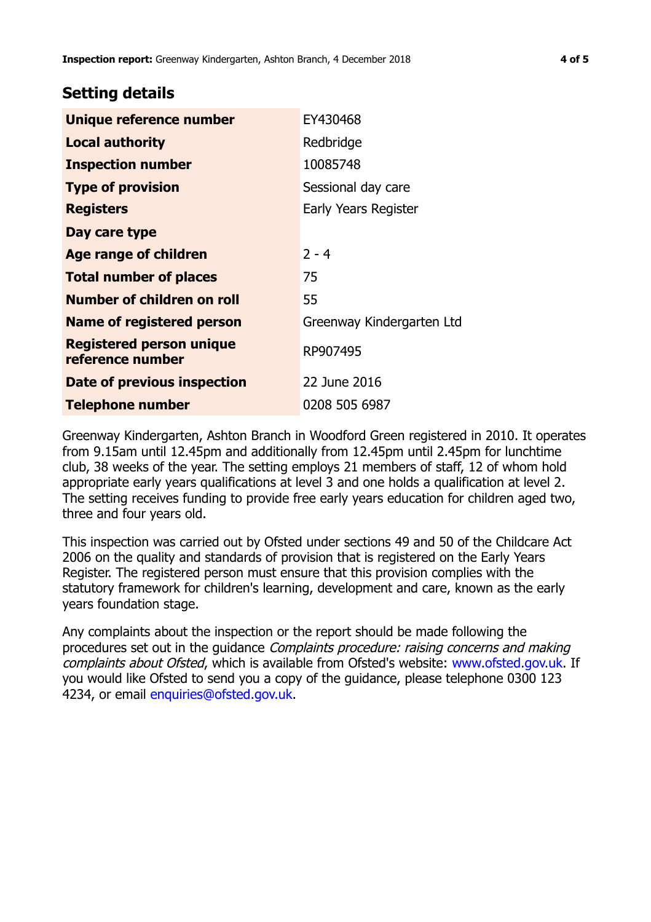## **Setting details**

| Unique reference number                             | EY430468                  |
|-----------------------------------------------------|---------------------------|
| <b>Local authority</b>                              | Redbridge                 |
| <b>Inspection number</b>                            | 10085748                  |
| <b>Type of provision</b>                            | Sessional day care        |
| <b>Registers</b>                                    | Early Years Register      |
| Day care type                                       |                           |
| <b>Age range of children</b>                        | $2 - 4$                   |
| <b>Total number of places</b>                       | 75                        |
| <b>Number of children on roll</b>                   | 55                        |
| Name of registered person                           | Greenway Kindergarten Ltd |
| <b>Registered person unique</b><br>reference number | RP907495                  |
| Date of previous inspection                         | 22 June 2016              |
| <b>Telephone number</b>                             | 0208 505 6987             |

Greenway Kindergarten, Ashton Branch in Woodford Green registered in 2010. It operates from 9.15am until 12.45pm and additionally from 12.45pm until 2.45pm for lunchtime club, 38 weeks of the year. The setting employs 21 members of staff, 12 of whom hold appropriate early years qualifications at level 3 and one holds a qualification at level 2. The setting receives funding to provide free early years education for children aged two, three and four years old.

This inspection was carried out by Ofsted under sections 49 and 50 of the Childcare Act 2006 on the quality and standards of provision that is registered on the Early Years Register. The registered person must ensure that this provision complies with the statutory framework for children's learning, development and care, known as the early years foundation stage.

Any complaints about the inspection or the report should be made following the procedures set out in the guidance Complaints procedure: raising concerns and making complaints about Ofsted, which is available from Ofsted's website: www.ofsted.gov.uk. If you would like Ofsted to send you a copy of the guidance, please telephone 0300 123 4234, or email [enquiries@ofsted.gov.uk.](mailto:enquiries@ofsted.gov.uk)